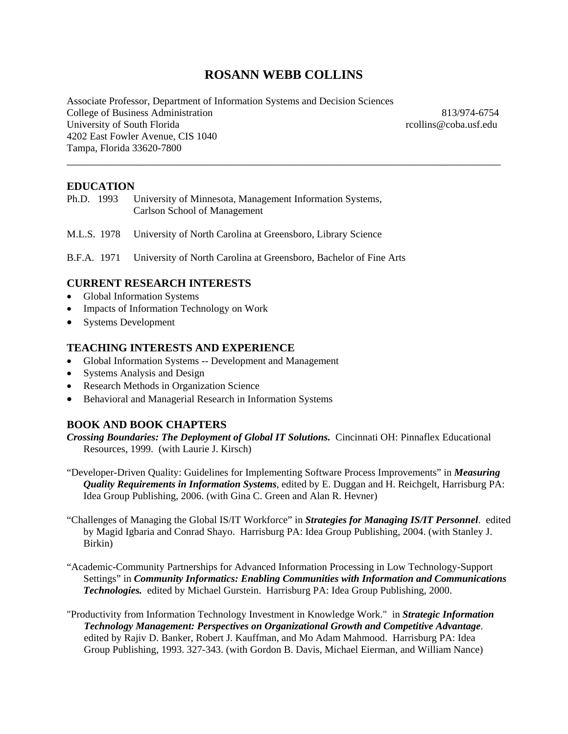# **ROSANN WEBB COLLINS**

\_\_\_\_\_\_\_\_\_\_\_\_\_\_\_\_\_\_\_\_\_\_\_\_\_\_\_\_\_\_\_\_\_\_\_\_\_\_\_\_\_\_\_\_\_\_\_\_\_\_\_\_\_\_\_\_\_\_\_\_\_\_\_\_\_\_\_\_\_\_\_\_\_\_\_\_\_\_

Associate Professor, Department of Information Systems and Decision Sciences College of Business Administration 813/974-6754 University of South Florida rcollins@coba.usf.edu 4202 East Fowler Avenue, CIS 1040 Tampa, Florida 33620-7800

## **EDUCATION**

Ph.D. 1993 University of Minnesota, Management Information Systems, Carlson School of Management

M.L.S. 1978 University of North Carolina at Greensboro, Library Science

B.F.A. 1971 University of North Carolina at Greensboro, Bachelor of Fine Arts

# **CURRENT RESEARCH INTERESTS**

- Global Information Systems
- Impacts of Information Technology on Work
- Systems Development

## **TEACHING INTERESTS AND EXPERIENCE**

- Global Information Systems -- Development and Management
- Systems Analysis and Design
- Research Methods in Organization Science
- Behavioral and Managerial Research in Information Systems

# **BOOK AND BOOK CHAPTERS**

*Crossing Boundaries: The Deployment of Global IT Solutions.* Cincinnati OH: Pinnaflex Educational Resources, 1999. (with Laurie J. Kirsch)

- "Developer-Driven Quality: Guidelines for Implementing Software Process Improvements" in *Measuring Quality Requirements in Information Systems*, edited by E. Duggan and H. Reichgelt, Harrisburg PA: Idea Group Publishing, 2006. (with Gina C. Green and Alan R. Hevner)
- "Challenges of Managing the Global IS/IT Workforce" in *Strategies for Managing IS/IT Personnel*. edited by Magid Igbaria and Conrad Shayo. Harrisburg PA: Idea Group Publishing, 2004. (with Stanley J. Birkin)
- "Academic-Community Partnerships for Advanced Information Processing in Low Technology-Support Settings" in *Community Informatics: Enabling Communities with Information and Communications Technologies.* edited by Michael Gurstein.Harrisburg PA: Idea Group Publishing, 2000.
- "Productivity from Information Technology Investment in Knowledge Work." in *Strategic Information Technology Management: Perspectives on Organizational Growth and Competitive Advantage*. edited by Rajiv D. Banker, Robert J. Kauffman, and Mo Adam Mahmood. Harrisburg PA: Idea Group Publishing, 1993. 327-343. (with Gordon B. Davis, Michael Eierman, and William Nance)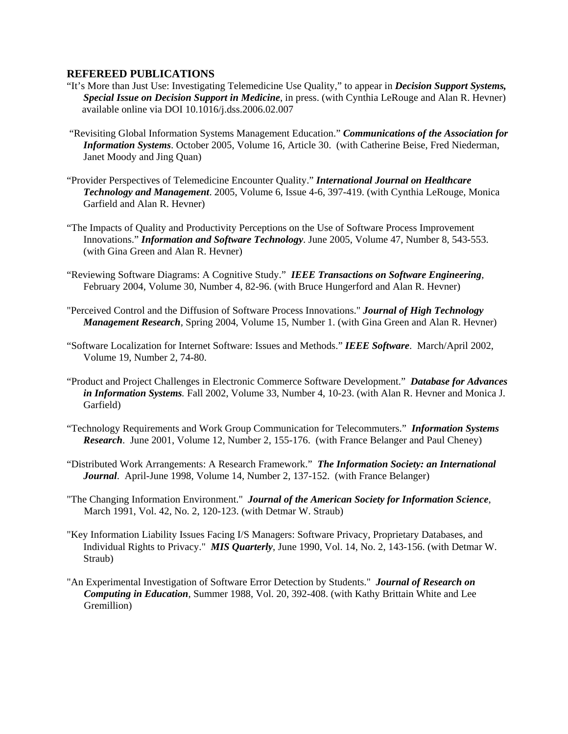## **REFEREED PUBLICATIONS**

- "It's More than Just Use: Investigating Telemedicine Use Quality," to appear in *Decision Support Systems, Special Issue on Decision Support in Medicine*, in press. (with Cynthia LeRouge and Alan R. Hevner) available online via DOI 10.1016/j.dss.2006.02.007
- "Revisiting Global Information Systems Management Education." *Communications of the Association for Information Systems*. October 2005, Volume 16, Article 30. (with Catherine Beise, Fred Niederman, Janet Moody and Jing Quan)
- "Provider Perspectives of Telemedicine Encounter Quality." *International Journal on Healthcare Technology and Management*. 2005, Volume 6, Issue 4-6, 397-419. (with Cynthia LeRouge, Monica Garfield and Alan R. Hevner)
- "The Impacts of Quality and Productivity Perceptions on the Use of Software Process Improvement Innovations." *Information and Software Technology*. June 2005, Volume 47, Number 8, 543-553. (with Gina Green and Alan R. Hevner)
- "Reviewing Software Diagrams: A Cognitive Study." *IEEE Transactions on Software Engineering*, February 2004, Volume 30, Number 4, 82-96. (with Bruce Hungerford and Alan R. Hevner)
- "Perceived Control and the Diffusion of Software Process Innovations." *Journal of High Technology Management Research,* Spring 2004, Volume 15, Number 1. (with Gina Green and Alan R. Hevner)
- "Software Localization for Internet Software: Issues and Methods." *IEEE Software*. March/April 2002, Volume 19, Number 2, 74-80.
- "Product and Project Challenges in Electronic Commerce Software Development."*Database for Advances in Information Systems.* Fall 2002, Volume 33, Number 4, 10-23. (with Alan R. Hevner and Monica J. Garfield)
- "Technology Requirements and Work Group Communication for Telecommuters." *Information Systems Research*. June 2001, Volume 12, Number 2, 155-176. (with France Belanger and Paul Cheney)
- "Distributed Work Arrangements: A Research Framework." *The Information Society: an International Journal*. April-June 1998, Volume 14, Number 2, 137-152. (with France Belanger)
- "The Changing Information Environment." *Journal of the American Society for Information Science*, March 1991, Vol. 42, No. 2, 120-123. (with Detmar W. Straub)
- "Key Information Liability Issues Facing I/S Managers: Software Privacy, Proprietary Databases, and Individual Rights to Privacy." *MIS Quarterly*, June 1990, Vol. 14, No. 2, 143-156. (with Detmar W. Straub)
- "An Experimental Investigation of Software Error Detection by Students." *Journal of Research on Computing in Education*, Summer 1988, Vol. 20, 392-408. (with Kathy Brittain White and Lee Gremillion)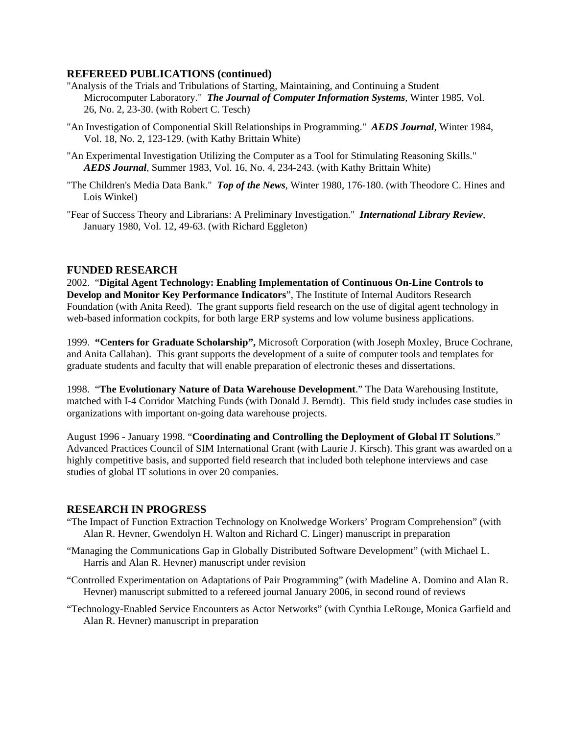# **REFEREED PUBLICATIONS (continued)**

- "Analysis of the Trials and Tribulations of Starting, Maintaining, and Continuing a Student Microcomputer Laboratory." *The Journal of Computer Information Systems*, Winter 1985, Vol. 26, No. 2, 23-30. (with Robert C. Tesch)
- "An Investigation of Componential Skill Relationships in Programming." *AEDS Journal*, Winter 1984, Vol. 18, No. 2, 123-129. (with Kathy Brittain White)
- "An Experimental Investigation Utilizing the Computer as a Tool for Stimulating Reasoning Skills." *AEDS Journal*, Summer 1983, Vol. 16, No. 4, 234-243. (with Kathy Brittain White)
- "The Children's Media Data Bank." *Top of the News*, Winter 1980, 176-180. (with Theodore C. Hines and Lois Winkel)
- "Fear of Success Theory and Librarians: A Preliminary Investigation." *International Library Review*, January 1980, Vol. 12, 49-63. (with Richard Eggleton)

# **FUNDED RESEARCH**

2002. "**Digital Agent Technology: Enabling Implementation of Continuous On-Line Controls to Develop and Monitor Key Performance Indicators**", The Institute of Internal Auditors Research Foundation (with Anita Reed). The grant supports field research on the use of digital agent technology in web-based information cockpits, for both large ERP systems and low volume business applications.

1999. **"Centers for Graduate Scholarship",** Microsoft Corporation (with Joseph Moxley, Bruce Cochrane, and Anita Callahan). This grant supports the development of a suite of computer tools and templates for graduate students and faculty that will enable preparation of electronic theses and dissertations.

1998. "**The Evolutionary Nature of Data Warehouse Development**." The Data Warehousing Institute, matched with I-4 Corridor Matching Funds (with Donald J. Berndt). This field study includes case studies in organizations with important on-going data warehouse projects.

August 1996 - January 1998. "**Coordinating and Controlling the Deployment of Global IT Solutions**." Advanced Practices Council of SIM International Grant (with Laurie J. Kirsch). This grant was awarded on a highly competitive basis, and supported field research that included both telephone interviews and case studies of global IT solutions in over 20 companies.

### **RESEARCH IN PROGRESS**

- "The Impact of Function Extraction Technology on Knolwedge Workers' Program Comprehension" (with Alan R. Hevner, Gwendolyn H. Walton and Richard C. Linger) manuscript in preparation
- "Managing the Communications Gap in Globally Distributed Software Development" (with Michael L. Harris and Alan R. Hevner) manuscript under revision
- "Controlled Experimentation on Adaptations of Pair Programming" (with Madeline A. Domino and Alan R. Hevner) manuscript submitted to a refereed journal January 2006, in second round of reviews
- "Technology-Enabled Service Encounters as Actor Networks" (with Cynthia LeRouge, Monica Garfield and Alan R. Hevner) manuscript in preparation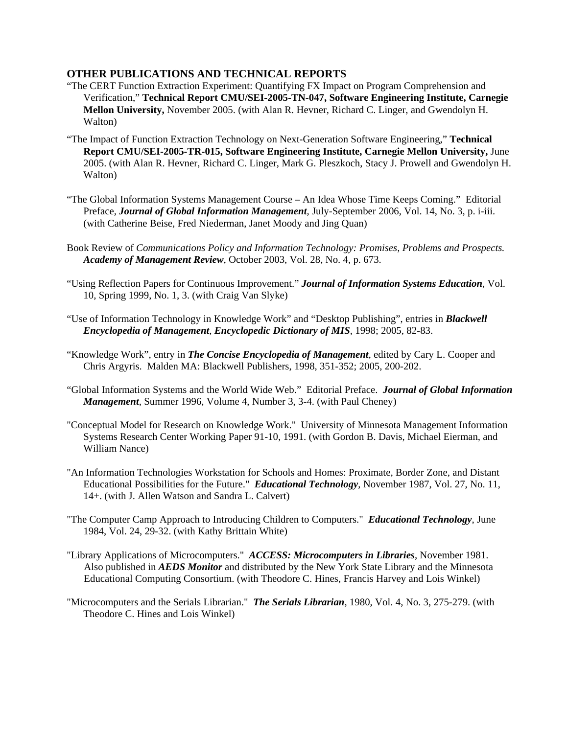## **OTHER PUBLICATIONS AND TECHNICAL REPORTS**

- "The CERT Function Extraction Experiment: Quantifying FX Impact on Program Comprehension and Verification," **Technical Report CMU/SEI-2005-TN-047, Software Engineering Institute, Carnegie Mellon University,** November 2005. (with Alan R. Hevner, Richard C. Linger, and Gwendolyn H. Walton)
- "The Impact of Function Extraction Technology on Next-Generation Software Engineering," **Technical Report CMU/SEI-2005-TR-015, Software Engineering Institute, Carnegie Mellon University,** June 2005. (with Alan R. Hevner, Richard C. Linger, Mark G. Pleszkoch, Stacy J. Prowell and Gwendolyn H. Walton)
- "The Global Information Systems Management Course An Idea Whose Time Keeps Coming." Editorial Preface, *Journal of Global Information Management*, July-September 2006, Vol. 14, No. 3, p. i-iii. (with Catherine Beise, Fred Niederman, Janet Moody and Jing Quan)
- Book Review of *Communications Policy and Information Technology: Promises, Problems and Prospects. Academy of Management Review*, October 2003, Vol. 28, No. 4, p. 673.
- "Using Reflection Papers for Continuous Improvement." *Journal of Information Systems Education*, Vol. 10, Spring 1999, No. 1, 3. (with Craig Van Slyke)
- "Use of Information Technology in Knowledge Work" and "Desktop Publishing", entries in *Blackwell Encyclopedia of Management*, *Encyclopedic Dictionary of MIS*, 1998; 2005, 82-83.
- "Knowledge Work", entry in *The Concise Encyclopedia of Management*, edited by Cary L. Cooper and Chris Argyris. Malden MA: Blackwell Publishers, 1998, 351-352; 2005, 200-202.
- "Global Information Systems and the World Wide Web." Editorial Preface. *Journal of Global Information Management*, Summer 1996, Volume 4, Number 3, 3-4. (with Paul Cheney)
- "Conceptual Model for Research on Knowledge Work." University of Minnesota Management Information Systems Research Center Working Paper 91-10, 1991. (with Gordon B. Davis, Michael Eierman, and William Nance)
- "An Information Technologies Workstation for Schools and Homes: Proximate, Border Zone, and Distant Educational Possibilities for the Future." *Educational Technology*, November 1987, Vol. 27, No. 11, 14+. (with J. Allen Watson and Sandra L. Calvert)
- "The Computer Camp Approach to Introducing Children to Computers." *Educational Technology*, June 1984, Vol. 24, 29-32. (with Kathy Brittain White)
- "Library Applications of Microcomputers." *ACCESS: Microcomputers in Libraries*, November 1981. Also published in *AEDS Monitor* and distributed by the New York State Library and the Minnesota Educational Computing Consortium. (with Theodore C. Hines, Francis Harvey and Lois Winkel)
- "Microcomputers and the Serials Librarian." *The Serials Librarian*, 1980, Vol. 4, No. 3, 275-279. (with Theodore C. Hines and Lois Winkel)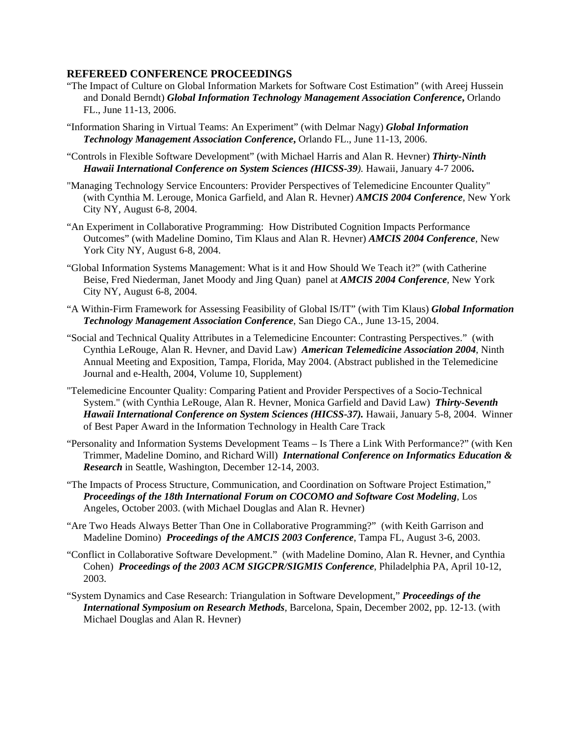## **REFEREED CONFERENCE PROCEEDINGS**

- "The Impact of Culture on Global Information Markets for Software Cost Estimation" (with Areej Hussein and Donald Berndt) *Global Information Technology Management Association Conference***,** Orlando FL., June 11-13, 2006.
- "Information Sharing in Virtual Teams: An Experiment" (with Delmar Nagy) *Global Information*  **Technology Management Association Conference**, Orlando FL., June 11-13, 2006.
- "Controls in Flexible Software Development" (with Michael Harris and Alan R. Hevner) *Thirty-Ninth Hawaii International Conference on System Sciences (HICSS-39).* Hawaii, January 4-7 2006**.**
- "Managing Technology Service Encounters: Provider Perspectives of Telemedicine Encounter Quality" (with Cynthia M. Lerouge, Monica Garfield, and Alan R. Hevner) *AMCIS 2004 Conference,* New York City NY, August 6-8, 2004.
- "An Experiment in Collaborative Programming: How Distributed Cognition Impacts Performance Outcomes" (with Madeline Domino, Tim Klaus and Alan R. Hevner) *AMCIS 2004 Conference,* New York City NY, August 6-8, 2004.
- "Global Information Systems Management: What is it and How Should We Teach it?" (with Catherine Beise, Fred Niederman, Janet Moody and Jing Quan) panel at *AMCIS 2004 Conference,* New York City NY, August 6-8, 2004.
- "A Within-Firm Framework for Assessing Feasibility of Global IS/IT" (with Tim Klaus) *Global Information Technology Management Association Conference*, San Diego CA., June 13-15, 2004.
- "Social and Technical Quality Attributes in a Telemedicine Encounter: Contrasting Perspectives." (with Cynthia LeRouge, Alan R. Hevner, and David Law) *American Telemedicine Association 2004*, Ninth Annual Meeting and Exposition, Tampa, Florida, May 2004. (Abstract published in the Telemedicine Journal and e-Health, 2004, Volume 10, Supplement)
- "Telemedicine Encounter Quality: Comparing Patient and Provider Perspectives of a Socio-Technical System." (with Cynthia LeRouge, Alan R. Hevner, Monica Garfield and David Law) *Thirty-Seventh Hawaii International Conference on System Sciences (HICSS-37).* Hawaii, January 5-8, 2004. Winner of Best Paper Award in the Information Technology in Health Care Track
- "Personality and Information Systems Development Teams Is There a Link With Performance?" (with Ken Trimmer, Madeline Domino, and Richard Will) *International Conference on Informatics Education & Research* in Seattle, Washington, December 12-14, 2003.
- "The Impacts of Process Structure, Communication, and Coordination on Software Project Estimation," *Proceedings of the 18th International Forum on COCOMO and Software Cost Modeling*, Los Angeles, October 2003. (with Michael Douglas and Alan R. Hevner)
- "Are Two Heads Always Better Than One in Collaborative Programming?" (with Keith Garrison and Madeline Domino) *Proceedings of the AMCIS 2003 Conference*, Tampa FL, August 3-6, 2003.
- "Conflict in Collaborative Software Development." (with Madeline Domino, Alan R. Hevner, and Cynthia Cohen) *Proceedings of the 2003 ACM SIGCPR/SIGMIS Conference*, Philadelphia PA, April 10-12, 2003.
- "System Dynamics and Case Research: Triangulation in Software Development," *Proceedings of the International Symposium on Research Methods*, Barcelona, Spain, December 2002, pp. 12-13. (with Michael Douglas and Alan R. Hevner)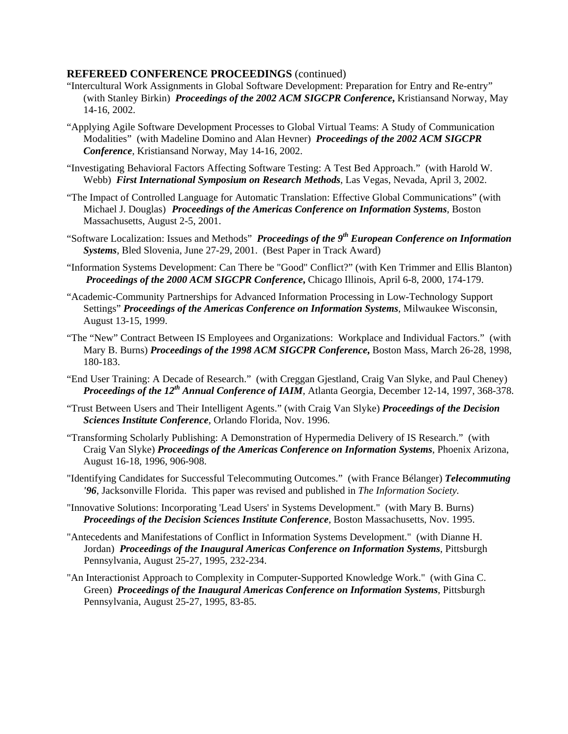## **REFEREED CONFERENCE PROCEEDINGS** (continued)

- "Intercultural Work Assignments in Global Software Development: Preparation for Entry and Re-entry" (with Stanley Birkin) *Proceedings of the 2002 ACM SIGCPR Conference***,** Kristiansand Norway, May 14-16, 2002.
- "Applying Agile Software Development Processes to Global Virtual Teams: A Study of Communication Modalities" (with Madeline Domino and Alan Hevner)*Proceedings of the 2002 ACM SIGCPR Conference*, Kristiansand Norway, May 14-16, 2002.
- "Investigating Behavioral Factors Affecting Software Testing: A Test Bed Approach." (with Harold W. Webb) *First International Symposium on Research Methods*, Las Vegas, Nevada, April 3, 2002.
- "The Impact of Controlled Language for Automatic Translation: Effective Global Communications" (with Michael J. Douglas) *Proceedings of the Americas Conference on Information Systems*, Boston Massachusetts, August 2-5, 2001.
- "Software Localization: Issues and Methods" *Proceedings of the 9th European Conference on Information Systems*, Bled Slovenia, June 27-29, 2001. (Best Paper in Track Award)
- "Information Systems Development: Can There be "Good" Conflict?" (with Ken Trimmer and Ellis Blanton) *Proceedings of the 2000 ACM SIGCPR Conference***,** Chicago Illinois, April 6-8, 2000, 174-179.
- "Academic-Community Partnerships for Advanced Information Processing in Low-Technology Support Settings" *Proceedings of the Americas Conference on Information Systems*, Milwaukee Wisconsin, August 13-15, 1999.
- "The "New" Contract Between IS Employees and Organizations: Workplace and Individual Factors." (with Mary B. Burns) *Proceedings of the 1998 ACM SIGCPR Conference***,** Boston Mass, March 26-28, 1998, 180-183.
- "End User Training: A Decade of Research." (with Creggan Gjestland, Craig Van Slyke, and Paul Cheney) *Proceedings of the 12th Annual Conference of IAIM*, Atlanta Georgia, December 12-14, 1997, 368-378.
- "Trust Between Users and Their Intelligent Agents." (with Craig Van Slyke) *Proceedings of the Decision Sciences Institute Conference*, Orlando Florida, Nov. 1996.
- "Transforming Scholarly Publishing: A Demonstration of Hypermedia Delivery of IS Research." (with Craig Van Slyke) *Proceedings of the Americas Conference on Information Systems*, Phoenix Arizona, August 16-18, 1996, 906-908.
- "Identifying Candidates for Successful Telecommuting Outcomes." (with France Bélanger) *Telecommuting '96*, Jacksonville Florida. This paper was revised and published in *The Information Society.*
- "Innovative Solutions: Incorporating 'Lead Users' in Systems Development." (with Mary B. Burns) *Proceedings of the Decision Sciences Institute Conference*, Boston Massachusetts, Nov. 1995.
- "Antecedents and Manifestations of Conflict in Information Systems Development." (with Dianne H. Jordan) *Proceedings of the Inaugural Americas Conference on Information Systems*, Pittsburgh Pennsylvania, August 25-27, 1995, 232-234.
- "An Interactionist Approach to Complexity in Computer-Supported Knowledge Work." (with Gina C. Green) *Proceedings of the Inaugural Americas Conference on Information Systems*, Pittsburgh Pennsylvania, August 25-27, 1995, 83-85.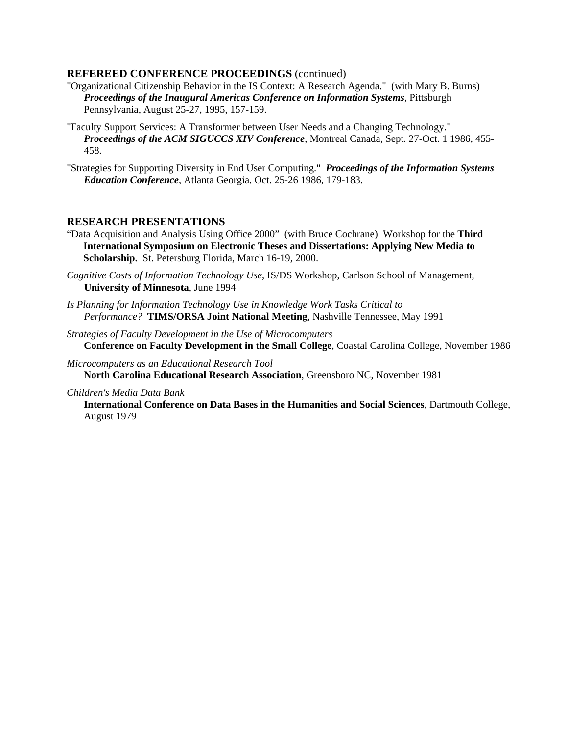## **REFEREED CONFERENCE PROCEEDINGS** (continued)

- "Organizational Citizenship Behavior in the IS Context: A Research Agenda." (with Mary B. Burns) *Proceedings of the Inaugural Americas Conference on Information Systems*, Pittsburgh Pennsylvania, August 25-27, 1995, 157-159.
- "Faculty Support Services: A Transformer between User Needs and a Changing Technology." *Proceedings of the ACM SIGUCCS XIV Conference*, Montreal Canada, Sept. 27-Oct. 1 1986, 455- 458.
- "Strategies for Supporting Diversity in End User Computing." *Proceedings of the Information Systems Education Conference*, Atlanta Georgia, Oct. 25-26 1986, 179-183.

# **RESEARCH PRESENTATIONS**

- "Data Acquisition and Analysis Using Office 2000"(with Bruce Cochrane) Workshop for the **Third International Symposium on Electronic Theses and Dissertations: Applying New Media to Scholarship.** St. Petersburg Florida, March 16-19, 2000.
- *Cognitive Costs of Information Technology Use*, IS/DS Workshop, Carlson School of Management, **University of Minnesota**, June 1994
- *Is Planning for Information Technology Use in Knowledge Work Tasks Critical to Performance?* **TIMS/ORSA Joint National Meeting**, Nashville Tennessee, May 1991
- *Strategies of Faculty Development in the Use of Microcomputers*   **Conference on Faculty Development in the Small College**, Coastal Carolina College, November 1986
- *Microcomputers as an Educational Research Tool*  **North Carolina Educational Research Association**, Greensboro NC, November 1981

### *Children's Media Data Bank*

 **International Conference on Data Bases in the Humanities and Social Sciences**, Dartmouth College, August 1979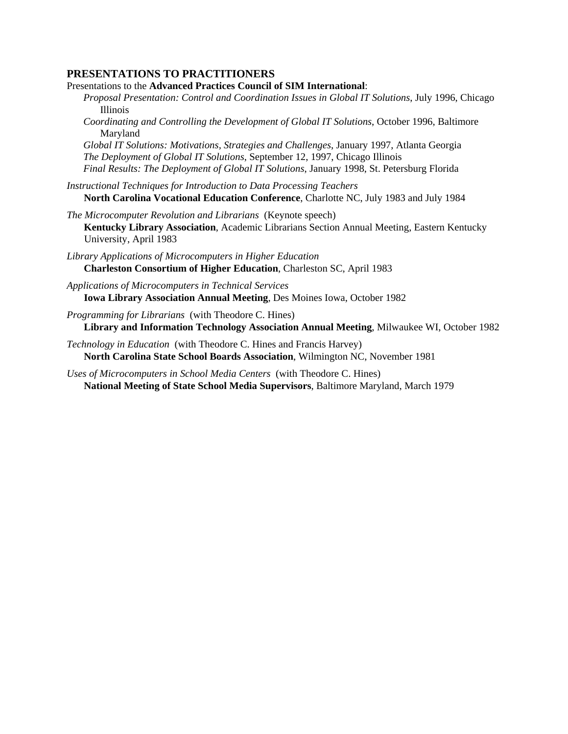# **PRESENTATIONS TO PRACTITIONERS**

Presentations to the **Advanced Practices Council of SIM International**:

- *Proposal Presentation: Control and Coordination Issues in Global IT Solutions*, July 1996, Chicago Illinois
	- *Coordinating and Controlling the Development of Global IT Solutions*, October 1996, Baltimore Maryland

*Global IT Solutions: Motivations, Strategies and Challenges*, January 1997, Atlanta Georgia *The Deployment of Global IT Solutions*, September 12, 1997, Chicago Illinois *Final Results: The Deployment of Global IT Solutions*, January 1998, St. Petersburg Florida

- *Instructional Techniques for Introduction to Data Processing Teachers*  **North Carolina Vocational Education Conference**, Charlotte NC, July 1983 and July 1984
- *The Microcomputer Revolution and Librarians* (Keynote speech)  **Kentucky Library Association**, Academic Librarians Section Annual Meeting, Eastern Kentucky University, April 1983
- *Library Applications of Microcomputers in Higher Education*  **Charleston Consortium of Higher Education**, Charleston SC, April 1983
- *Applications of Microcomputers in Technical Services*  **Iowa Library Association Annual Meeting**, Des Moines Iowa, October 1982
- *Programming for Librarians* (with Theodore C. Hines)  **Library and Information Technology Association Annual Meeting**, Milwaukee WI, October 1982
- *Technology in Education* (with Theodore C. Hines and Francis Harvey)  **North Carolina State School Boards Association**, Wilmington NC, November 1981
- *Uses of Microcomputers in School Media Centers* (with Theodore C. Hines)  **National Meeting of State School Media Supervisors**, Baltimore Maryland, March 1979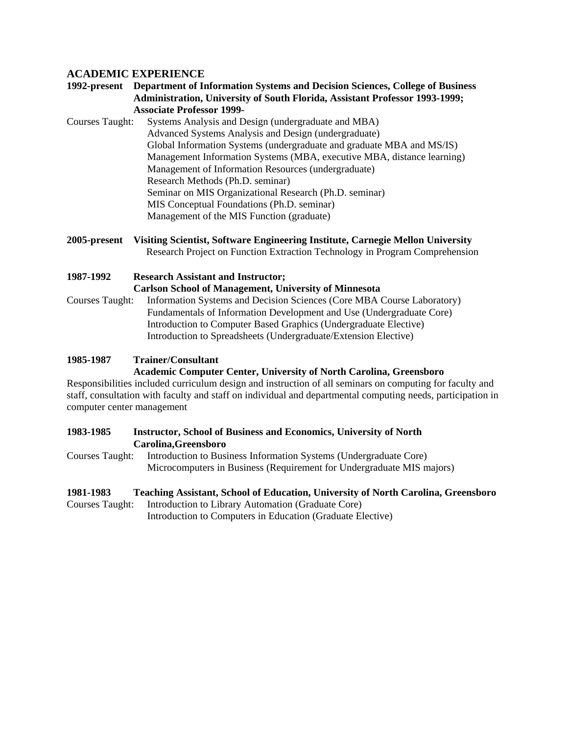# **ACADEMIC EXPERIENCE**

# **1992-present Department of Information Systems and Decision Sciences, College of Business Administration, University of South Florida, Assistant Professor 1993-1999; Associate Professor 1999-**

- Courses Taught: Systems Analysis and Design (undergraduate and MBA) Advanced Systems Analysis and Design (undergraduate) Global Information Systems (undergraduate and graduate MBA and MS/IS) Management Information Systems (MBA, executive MBA, distance learning) Management of Information Resources (undergraduate) Research Methods (Ph.D. seminar) Seminar on MIS Organizational Research (Ph.D. seminar) MIS Conceptual Foundations (Ph.D. seminar) Management of the MIS Function (graduate)
- **2005-present Visiting Scientist, Software Engineering Institute, Carnegie Mellon University** Research Project on Function Extraction Technology in Program Comprehension

**1987-1992 Research Assistant and Instructor; Carlson School of Management, University of Minnesota** Courses Taught: Information Systems and Decision Sciences (Core MBA Course Laboratory) Fundamentals of Information Development and Use (Undergraduate Core) Introduction to Computer Based Graphics (Undergraduate Elective) Introduction to Spreadsheets (Undergraduate/Extension Elective)

### **1985-1987 Trainer/Consultant**

# **Academic Computer Center, University of North Carolina, Greensboro**

Responsibilities included curriculum design and instruction of all seminars on computing for faculty and staff, consultation with faculty and staff on individual and departmental computing needs, participation in computer center management

# **1983-1985 Instructor, School of Business and Economics, University of North Carolina,Greensboro**

Courses Taught: Introduction to Business Information Systems (Undergraduate Core) Microcomputers in Business (Requirement for Undergraduate MIS majors)

### **1981-1983 Teaching Assistant, School of Education, University of North Carolina, Greensboro**

Courses Taught: Introduction to Library Automation (Graduate Core)

Introduction to Computers in Education (Graduate Elective)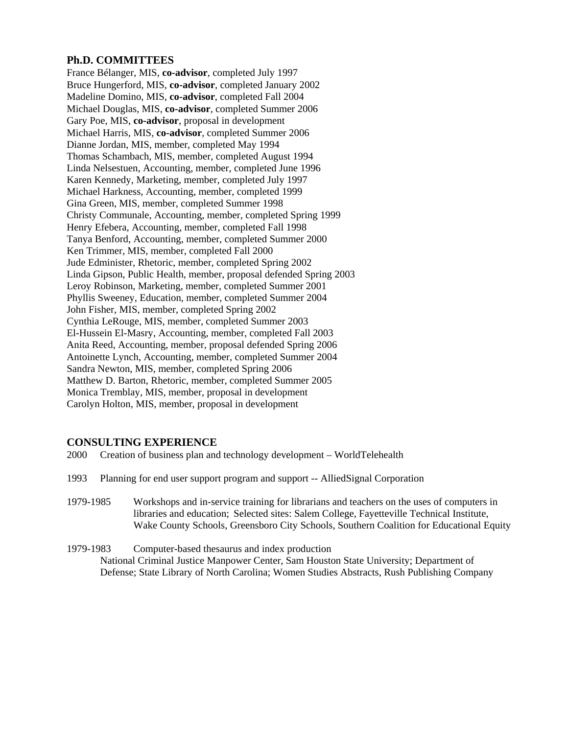# **Ph.D. COMMITTEES**

France Bélanger, MIS, **co-advisor**, completed July 1997 Bruce Hungerford, MIS, **co-advisor**, completed January 2002 Madeline Domino, MIS, **co-advisor**, completed Fall 2004 Michael Douglas, MIS, **co-advisor**, completed Summer 2006 Gary Poe, MIS, **co-advisor**, proposal in development Michael Harris, MIS, **co-advisor**, completed Summer 2006 Dianne Jordan, MIS, member, completed May 1994 Thomas Schambach, MIS, member, completed August 1994 Linda Nelsestuen, Accounting, member, completed June 1996 Karen Kennedy, Marketing, member, completed July 1997 Michael Harkness, Accounting, member, completed 1999 Gina Green, MIS, member, completed Summer 1998 Christy Communale, Accounting, member, completed Spring 1999 Henry Efebera, Accounting, member, completed Fall 1998 Tanya Benford, Accounting, member, completed Summer 2000 Ken Trimmer, MIS, member, completed Fall 2000 Jude Edminister, Rhetoric, member, completed Spring 2002 Linda Gipson, Public Health, member, proposal defended Spring 2003 Leroy Robinson, Marketing, member, completed Summer 2001 Phyllis Sweeney, Education, member, completed Summer 2004 John Fisher, MIS, member, completed Spring 2002 Cynthia LeRouge, MIS, member, completed Summer 2003 El-Hussein El-Masry, Accounting, member, completed Fall 2003 Anita Reed, Accounting, member, proposal defended Spring 2006 Antoinette Lynch, Accounting, member, completed Summer 2004 Sandra Newton, MIS, member, completed Spring 2006 Matthew D. Barton, Rhetoric, member, completed Summer 2005 Monica Tremblay, MIS, member, proposal in development Carolyn Holton, MIS, member, proposal in development

# **CONSULTING EXPERIENCE**

- 2000 Creation of business plan and technology development WorldTelehealth
- 1993 Planning for end user support program and support -- AlliedSignal Corporation
- 1979-1985 Workshops and in-service training for librarians and teachers on the uses of computers in libraries and education; Selected sites: Salem College, Fayetteville Technical Institute, Wake County Schools, Greensboro City Schools, Southern Coalition for Educational Equity
- 1979-1983 Computer-based thesaurus and index production National Criminal Justice Manpower Center, Sam Houston State University; Department of Defense; State Library of North Carolina; Women Studies Abstracts, Rush Publishing Company